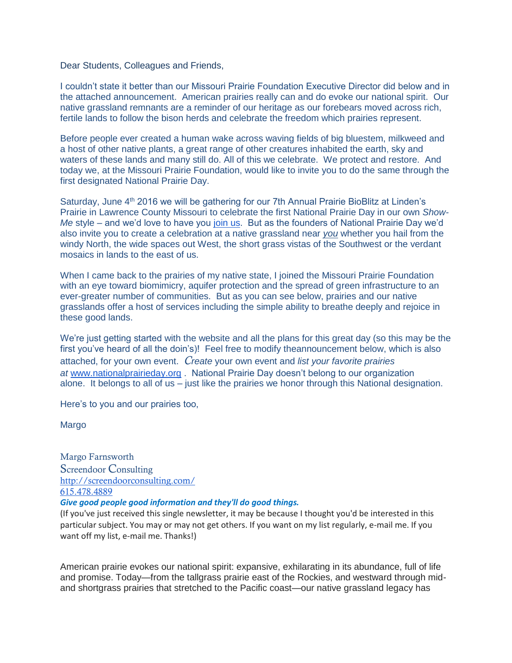Dear Students, Colleagues and Friends,

I couldn't state it better than our Missouri Prairie Foundation Executive Director did below and in the attached announcement. American prairies really can and do evoke our national spirit. Our native grassland remnants are a reminder of our heritage as our forebears moved across rich, fertile lands to follow the bison herds and celebrate the freedom which prairies represent.

Before people ever created a human wake across waving fields of big bluestem, milkweed and a host of other native plants, a great range of other creatures inhabited the earth, sky and waters of these lands and many still do. All of this we celebrate. We protect and restore. And today we, at the Missouri Prairie Foundation, would like to invite you to do the same through the first designated National Prairie Day.

Saturday, June 4<sup>th</sup> 2016 we will be gathering for our 7th Annual Prairie BioBlitz at Linden's Prairie in Lawrence County Missouri to celebrate the first National Prairie Day in our own *Show-Me* style – and we'd love to have you [join us.](http://www.moprairie.org/events/) But as the founders of National Prairie Day we'd also invite you to create a celebration at a native grassland near *you* whether you hail from the windy North, the wide spaces out West, the short grass vistas of the Southwest or the verdant mosaics in lands to the east of us.

When I came back to the prairies of my native state, I joined the Missouri Prairie Foundation with an eye toward biomimicry, aquifer protection and the spread of green infrastructure to an ever-greater number of communities. But as you can see below, prairies and our native grasslands offer a host of services including the simple ability to breathe deeply and rejoice in these good lands.

We're just getting started with the website and all the plans for this great day (so this may be the first you've heard of all the doin's)! Feel free to modify theannouncement below, which is also attached, for your own event. *Create* your own event and *list your favorite prairies at* [www.nationalprairieday.org](http://www.nationalprairieday.org/) . National Prairie Day doesn't belong to our organization alone. It belongs to all of us – just like the prairies we honor through this National designation.

Here's to you and our prairies too,

Margo

Margo Farnsworth Screendoor Consulting <http://screendoorconsulting.com/> [615.478.4889](tel:(615)%20478-4889) *Give good people good information and they'll do good things.*

(If you've just received this single newsletter, it may be because I thought you'd be interested in this particular subject. You may or may not get others. If you want on my list regularly, e-mail me. If you want off my list, e-mail me. Thanks!)

American prairie evokes our national spirit: expansive, exhilarating in its abundance, full of life and promise. Today—from the tallgrass prairie east of the Rockies, and westward through midand shortgrass prairies that stretched to the Pacific coast—our native grassland legacy has